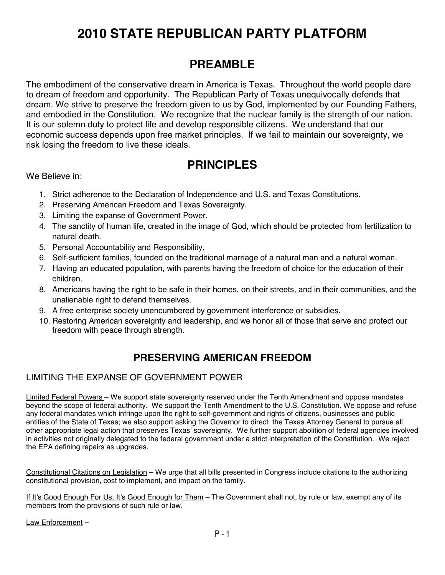# **2010 STATE REPUBLICAN PARTY PLATFORM**

# **PREAMBLE**

The embodiment of the conservative dream in America is Texas. Throughout the world people dare to dream of freedom and opportunity. The Republican Party of Texas unequivocally defends that dream. We strive to preserve the freedom given to us by God, implemented by our Founding Fathers, and embodied in the Constitution. We recognize that the nuclear family is the strength of our nation. It is our solemn duty to protect life and develop responsible citizens. We understand that our economic success depends upon free market principles. If we fail to maintain our sovereignty, we risk losing the freedom to live these ideals.

# **PRINCIPLES**

We Believe in:

- 1. Strict adherence to the Declaration of Independence and U.S. and Texas Constitutions.
- 2. Preserving American Freedom and Texas Sovereignty.
- 3. Limiting the expanse of Government Power.
- 4. The sanctity of human life, created in the image of God, which should be protected from fertilization to natural death.
- 5. Personal Accountability and Responsibility.
- 6. Self-sufficient families, founded on the traditional marriage of a natural man and a natural woman.
- 7. Having an educated population, with parents having the freedom of choice for the education of their children.
- 8. Americans having the right to be safe in their homes, on their streets, and in their communities, and the unalienable right to defend themselves.
- 9. A free enterprise society unencumbered by government interference or subsidies.
- 10. Restoring American sovereignty and leadership, and we honor all of those that serve and protect our freedom with peace through strength.

## **PRESERVING AMERICAN FREEDOM**

### LIMITING THE EXPANSE OF GOVERNMENT POWER

Limited Federal Powers – We support state sovereignty reserved under the Tenth Amendment and oppose mandates beyond the scope of federal authority. We support the Tenth Amendment to the U.S. Constitution. We oppose and refuse any federal mandates which infringe upon the right to self-government and rights of citizens, businesses and public entities of the State of Texas; we also support asking the Governor to direct the Texas Attorney General to pursue all other appropriate legal action that preserves Texas' sovereignty. We further support abolition of federal agencies involved in activities not originally delegated to the federal government under a strict interpretation of the Constitution. We reject the EPA defining repairs as upgrades.

Constitutional Citations on Legislation – We urge that all bills presented in Congress include citations to the authorizing constitutional provision, cost to implement, and impact on the family.

If It's Good Enough For Us, It's Good Enough for Them – The Government shall not, by rule or law, exempt any of its members from the provisions of such rule or law.

Law Enforcement –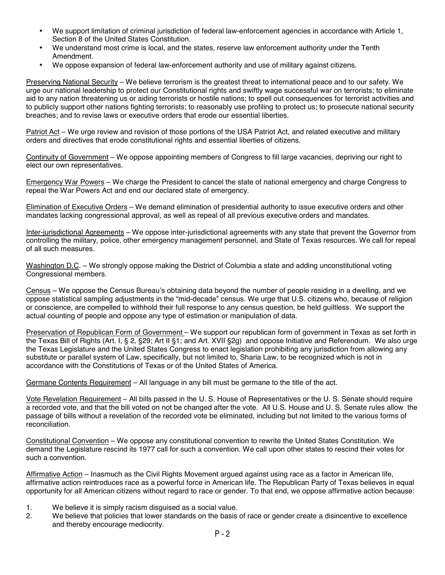- We support limitation of criminal jurisdiction of federal law-enforcement agencies in accordance with Article 1, Section 8 of the United States Constitution.
- We understand most crime is local, and the states, reserve law enforcement authority under the Tenth Amendment.
- We oppose expansion of federal law-enforcement authority and use of military against citizens.

Preserving National Security – We believe terrorism is the greatest threat to international peace and to our safety. We urge our national leadership to protect our Constitutional rights and swiftly wage successful war on terrorists; to eliminate aid to any nation threatening us or aiding terrorists or hostile nations; to spell out consequences for terrorist activities and to publicly support other nations fighting terrorists; to reasonably use profiling to protect us; to prosecute national security breaches; and to revise laws or executive orders that erode our essential liberties.

Patriot Act – We urge review and revision of those portions of the USA Patriot Act, and related executive and military orders and directives that erode constitutional rights and essential liberties of citizens.

Continuity of Government – We oppose appointing members of Congress to fill large vacancies, depriving our right to elect our own representatives.

Emergency War Powers – We charge the President to cancel the state of national emergency and charge Congress to repeal the War Powers Act and end our declared state of emergency.

Elimination of Executive Orders – We demand elimination of presidential authority to issue executive orders and other mandates lacking congressional approval, as well as repeal of all previous executive orders and mandates.

Inter-jurisdictional Agreements – We oppose inter-jurisdictional agreements with any state that prevent the Governor from controlling the military, police, other emergency management personnel, and State of Texas resources. We call for repeal of all such measures.

Washington D.C. – We strongly oppose making the District of Columbia a state and adding unconstitutional voting Congressional members.

Census – We oppose the Census Bureau's obtaining data beyond the number of people residing in a dwelling, and we oppose statistical sampling adjustments in the "mid-decade" census. We urge that U.S. citizens who, because of religion or conscience, are compelled to withhold their full response to any census question, be held guiltless. We support the actual counting of people and oppose any type of estimation or manipulation of data.

Preservation of Republican Form of Government – We support our republican form of government in Texas as set forth in the Texas Bill of Rights (Art. I, § 2, §29; Art II §1; and Art. XVII §2g) and oppose Initiative and Referendum. We also urge the Texas Legislature and the United States Congress to enact legislation prohibiting any jurisdiction from allowing any substitute or parallel system of Law, specifically, but not limited to, Sharia Law, to be recognized which is not in accordance with the Constitutions of Texas or of the United States of America.

Germane Contents Requirement – All language in any bill must be germane to the title of the act.

Vote Revelation Requirement – All bills passed in the U. S. House of Representatives or the U. S. Senate should require a recorded vote, and that the bill voted on not be changed after the vote. All U.S. House and U. S. Senate rules allow the passage of bills without a revelation of the recorded vote be eliminated, including but not limited to the various forms of reconciliation.

Constitutional Convention – We oppose any constitutional convention to rewrite the United States Constitution. We demand the Legislature rescind its 1977 call for such a convention. We call upon other states to rescind their votes for such a convention.

Affirmative Action – Inasmuch as the Civil Rights Movement argued against using race as a factor in American life, affirmative action reintroduces race as a powerful force in American life. The Republican Party of Texas believes in equal opportunity for all American citizens without regard to race or gender. To that end, we oppose affirmative action because:

- 1. We believe it is simply racism disguised as a social value.<br>2. We believe that policies that lower standards on the basis
- We believe that policies that lower standards on the basis of race or gender create a disincentive to excellence and thereby encourage mediocrity.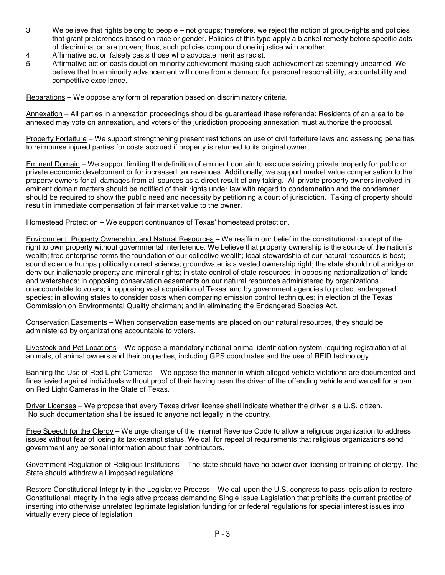- 3. We believe that rights belong to people not groups; therefore, we reject the notion of group-rights and policies that grant preferences based on race or gender. Policies of this type apply a blanket remedy before specific acts of discrimination are proven; thus, such policies compound one injustice with another.
- 4. Affirmative action falsely casts those who advocate merit as racist.
- 5. Affirmative action casts doubt on minority achievement making such achievement as seemingly unearned. We believe that true minority advancement will come from a demand for personal responsibility, accountability and competitive excellence.

Reparations – We oppose any form of reparation based on discriminatory criteria.

Annexation – All parties in annexation proceedings should be guaranteed these referenda: Residents of an area to be annexed may vote on annexation, and voters of the jurisdiction proposing annexation must authorize the proposal.

Property Forfeiture - We support strengthening present restrictions on use of civil forfeiture laws and assessing penalties to reimburse injured parties for costs accrued if property is returned to its original owner.

Eminent Domain – We support limiting the definition of eminent domain to exclude seizing private property for public or private economic development or for increased tax revenues. Additionally, we support market value compensation to the property owners for all damages from all sources as a direct result of any taking. All private property owners involved in eminent domain matters should be notified of their rights under law with regard to condemnation and the condemner should be required to show the public need and necessity by petitioning a court of jurisdiction. Taking of property should result in immediate compensation of fair market value to the owner.

Homestead Protection – We support continuance of Texas' homestead protection.

Environment, Property Ownership, and Natural Resources – We reaffirm our belief in the constitutional concept of the right to own property without governmental interference. We believe that property ownership is the source of the nation's wealth; free enterprise forms the foundation of our collective wealth; local stewardship of our natural resources is best; sound science trumps politically correct science; groundwater is a vested ownership right; the state should not abridge or deny our inalienable property and mineral rights; in state control of state resources; in opposing nationalization of lands and watersheds; in opposing conservation easements on our natural resources administered by organizations unaccountable to voters; in opposing vast acquisition of Texas land by government agencies to protect endangered species; in allowing states to consider costs when comparing emission control techniques; in election of the Texas Commission on Environmental Quality chairman; and in eliminating the Endangered Species Act.

Conservation Easements - When conservation easements are placed on our natural resources, they should be administered by organizations accountable to voters.

Livestock and Pet Locations – We oppose a mandatory national animal identification system requiring registration of all animals, of animal owners and their properties, including GPS coordinates and the use of RFID technology.

Banning the Use of Red Light Cameras – We oppose the manner in which alleged vehicle violations are documented and fines levied against individuals without proof of their having been the driver of the offending vehicle and we call for a ban on Red Light Cameras in the State of Texas.

Driver Licenses – We propose that every Texas driver license shall indicate whether the driver is a U.S. citizen. No such documentation shall be issued to anyone not legally in the country.

Free Speech for the Clergy – We urge change of the Internal Revenue Code to allow a religious organization to address issues without fear of losing its tax-exempt status. We call for repeal of requirements that religious organizations send government any personal information about their contributors.

Government Regulation of Religious Institutions – The state should have no power over licensing or training of clergy. The State should withdraw all imposed regulations.

Restore Constitutional Integrity in the Legislative Process - We call upon the U.S. congress to pass legislation to restore Constitutional integrity in the legislative process demanding Single Issue Legislation that prohibits the current practice of inserting into otherwise unrelated legitimate legislation funding for or federal regulations for special interest issues into virtually every piece of legislation.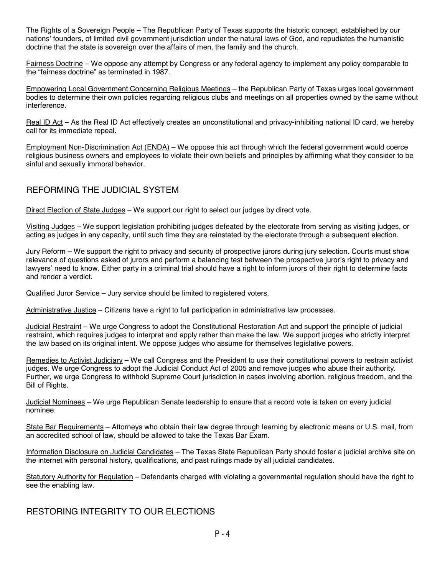The Rights of a Sovereign People – The Republican Party of Texas supports the historic concept, established by our nations' founders, of limited civil government jurisdiction under the natural laws of God, and repudiates the humanistic doctrine that the state is sovereign over the affairs of men, the family and the church.

Fairness Doctrine – We oppose any attempt by Congress or any federal agency to implement any policy comparable to the "fairness doctrine" as terminated in 1987.

Empowering Local Government Concerning Religious Meetings – the Republican Party of Texas urges local government bodies to determine their own policies regarding religious clubs and meetings on all properties owned by the same without interference.

Real ID Act – As the Real ID Act effectively creates an unconstitutional and privacy-inhibiting national ID card, we hereby call for its immediate repeal.

Employment Non-Discrimination Act (ENDA) – We oppose this act through which the federal government would coerce religious business owners and employees to violate their own beliefs and principles by affirming what they consider to be sinful and sexually immoral behavior.

### REFORMING THE JUDICIAL SYSTEM

Direct Election of State Judges – We support our right to select our judges by direct vote.

Visiting Judges – We support legislation prohibiting judges defeated by the electorate from serving as visiting judges, or acting as judges in any capacity, until such time they are reinstated by the electorate through a subsequent election.

Jury Reform – We support the right to privacy and security of prospective jurors during jury selection. Courts must show relevance of questions asked of jurors and perform a balancing test between the prospective juror's right to privacy and lawyers' need to know. Either party in a criminal trial should have a right to inform jurors of their right to determine facts and render a verdict.

Qualified Juror Service – Jury service should be limited to registered voters.

Administrative Justice – Citizens have a right to full participation in administrative law processes.

Judicial Restraint – We urge Congress to adopt the Constitutional Restoration Act and support the principle of judicial restraint, which requires judges to interpret and apply rather than make the law. We support judges who strictly interpret the law based on its original intent. We oppose judges who assume for themselves legislative powers.

Remedies to Activist Judiciary – We call Congress and the President to use their constitutional powers to restrain activist judges. We urge Congress to adopt the Judicial Conduct Act of 2005 and remove judges who abuse their authority. Further, we urge Congress to withhold Supreme Court jurisdiction in cases involving abortion, religious freedom, and the Bill of Rights.

Judicial Nominees – We urge Republican Senate leadership to ensure that a record vote is taken on every judicial nominee.

State Bar Requirements – Attorneys who obtain their law degree through learning by electronic means or U.S. mail, from an accredited school of law, should be allowed to take the Texas Bar Exam.

Information Disclosure on Judicial Candidates – The Texas State Republican Party should foster a judicial archive site on the internet with personal history, qualifications, and past rulings made by all judicial candidates.

Statutory Authority for Regulation – Defendants charged with violating a governmental regulation should have the right to see the enabling law.

RESTORING INTEGRITY TO OUR ELECTIONS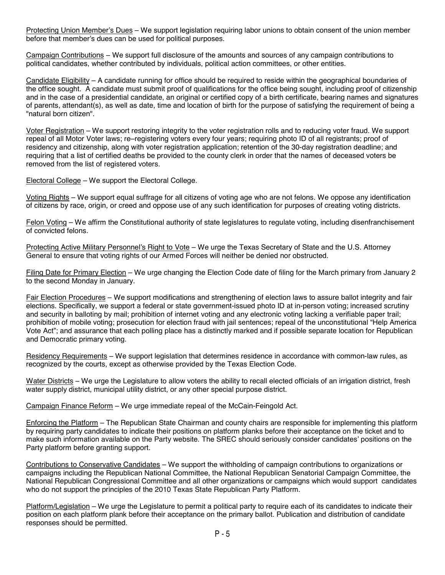Protecting Union Member's Dues – We support legislation requiring labor unions to obtain consent of the union member before that member's dues can be used for political purposes.

Campaign Contributions – We support full disclosure of the amounts and sources of any campaign contributions to political candidates, whether contributed by individuals, political action committees, or other entities.

Candidate Eligibility – A candidate running for office should be required to reside within the geographical boundaries of the office sought. A candidate must submit proof of qualifications for the office being sought, including proof of citizenship and in the case of a presidential candidate, an original or certified copy of a birth certificate, bearing names and signatures of parents, attendant(s), as well as date, time and location of birth for the purpose of satisfying the requirement of being a "natural born citizen".

Voter Registration – We support restoring integrity to the voter registration rolls and to reducing voter fraud. We support repeal of all Motor Voter laws; re–registering voters every four years; requiring photo ID of all registrants; proof of residency and citizenship, along with voter registration application; retention of the 30-day registration deadline; and requiring that a list of certified deaths be provided to the county clerk in order that the names of deceased voters be removed from the list of registered voters.

Electoral College – We support the Electoral College.

Voting Rights – We support equal suffrage for all citizens of voting age who are not felons. We oppose any identification of citizens by race, origin, or creed and oppose use of any such identification for purposes of creating voting districts.

Felon Voting – We affirm the Constitutional authority of state legislatures to regulate voting, including disenfranchisement of convicted felons.

Protecting Active Military Personnel's Right to Vote – We urge the Texas Secretary of State and the U.S. Attorney General to ensure that voting rights of our Armed Forces will neither be denied nor obstructed.

Filing Date for Primary Election – We urge changing the Election Code date of filing for the March primary from January 2 to the second Monday in January.

Fair Election Procedures – We support modifications and strengthening of election laws to assure ballot integrity and fair elections. Specifically, we support a federal or state government-issued photo ID at in-person voting; increased scrutiny and security in balloting by mail; prohibition of internet voting and any electronic voting lacking a verifiable paper trail; prohibition of mobile voting; prosecution for election fraud with jail sentences; repeal of the unconstitutional "Help America Vote Act"; and assurance that each polling place has a distinctly marked and if possible separate location for Republican and Democratic primary voting.

Residency Requirements – We support legislation that determines residence in accordance with common-law rules, as recognized by the courts, except as otherwise provided by the Texas Election Code.

Water Districts – We urge the Legislature to allow voters the ability to recall elected officials of an irrigation district, fresh water supply district, municipal utility district, or any other special purpose district.

Campaign Finance Reform – We urge immediate repeal of the McCain-Feingold Act.

Enforcing the Platform – The Republican State Chairman and county chairs are responsible for implementing this platform by requiring party candidates to indicate their positions on platform planks before their acceptance on the ticket and to make such information available on the Party website. The SREC should seriously consider candidates' positions on the Party platform before granting support.

Contributions to Conservative Candidates – We support the withholding of campaign contributions to organizations or campaigns including the Republican National Committee, the National Republican Senatorial Campaign Committee, the National Republican Congressional Committee and all other organizations or campaigns which would support candidates who do not support the principles of the 2010 Texas State Republican Party Platform.

Platform/Legislation – We urge the Legislature to permit a political party to require each of its candidates to indicate their position on each platform plank before their acceptance on the primary ballot. Publication and distribution of candidate responses should be permitted.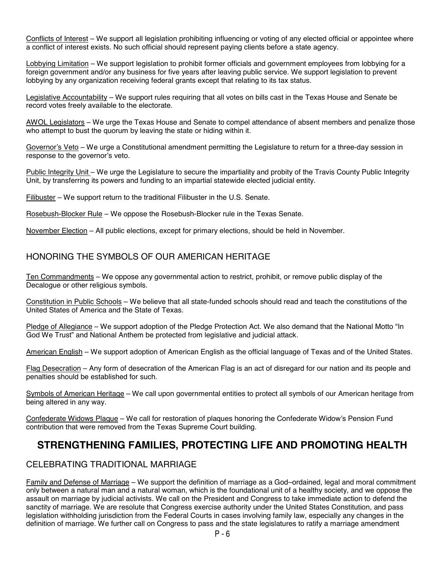Conflicts of Interest – We support all legislation prohibiting influencing or voting of any elected official or appointee where a conflict of interest exists. No such official should represent paying clients before a state agency.

Lobbying Limitation – We support legislation to prohibit former officials and government employees from lobbying for a foreign government and/or any business for five years after leaving public service. We support legislation to prevent lobbying by any organization receiving federal grants except that relating to its tax status.

Legislative Accountability – We support rules requiring that all votes on bills cast in the Texas House and Senate be record votes freely available to the electorate.

AWOL Legislators – We urge the Texas House and Senate to compel attendance of absent members and penalize those who attempt to bust the quorum by leaving the state or hiding within it.

Governor's Veto – We urge a Constitutional amendment permitting the Legislature to return for a three-day session in response to the governor's veto.

Public Integrity Unit – We urge the Legislature to secure the impartiality and probity of the Travis County Public Integrity Unit, by transferring its powers and funding to an impartial statewide elected judicial entity.

Filibuster – We support return to the traditional Filibuster in the U.S. Senate.

Rosebush-Blocker Rule – We oppose the Rosebush-Blocker rule in the Texas Senate.

November Election – All public elections, except for primary elections, should be held in November.

### HONORING THE SYMBOLS OF OUR AMERICAN HERITAGE

Ten Commandments – We oppose any governmental action to restrict, prohibit, or remove public display of the Decalogue or other religious symbols.

Constitution in Public Schools – We believe that all state-funded schools should read and teach the constitutions of the United States of America and the State of Texas.

Pledge of Allegiance – We support adoption of the Pledge Protection Act. We also demand that the National Motto "In God We Trust" and National Anthem be protected from legislative and judicial attack.

American English – We support adoption of American English as the official language of Texas and of the United States.

Flag Desecration - Any form of desecration of the American Flag is an act of disregard for our nation and its people and penalties should be established for such.

Symbols of American Heritage – We call upon governmental entities to protect all symbols of our American heritage from being altered in any way.

Confederate Widows Plaque – We call for restoration of plaques honoring the Confederate Widow's Pension Fund contribution that were removed from the Texas Supreme Court building.

### **STRENGTHENING FAMILIES, PROTECTING LIFE AND PROMOTING HEALTH**

### CELEBRATING TRADITIONAL MARRIAGE

Family and Defense of Marriage – We support the definition of marriage as a God–ordained, legal and moral commitment only between a natural man and a natural woman, which is the foundational unit of a healthy society, and we oppose the assault on marriage by judicial activists. We call on the President and Congress to take immediate action to defend the sanctity of marriage. We are resolute that Congress exercise authority under the United States Constitution, and pass legislation withholding jurisdiction from the Federal Courts in cases involving family law, especially any changes in the definition of marriage. We further call on Congress to pass and the state legislatures to ratify a marriage amendment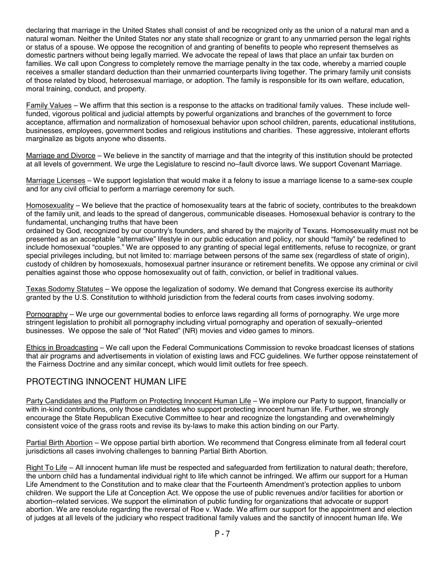declaring that marriage in the United States shall consist of and be recognized only as the union of a natural man and a natural woman. Neither the United States nor any state shall recognize or grant to any unmarried person the legal rights or status of a spouse. We oppose the recognition of and granting of benefits to people who represent themselves as domestic partners without being legally married. We advocate the repeal of laws that place an unfair tax burden on families. We call upon Congress to completely remove the marriage penalty in the tax code, whereby a married couple receives a smaller standard deduction than their unmarried counterparts living together. The primary family unit consists of those related by blood, heterosexual marriage, or adoption. The family is responsible for its own welfare, education, moral training, conduct, and property.

Family Values – We affirm that this section is a response to the attacks on traditional family values. These include wellfunded, vigorous political and judicial attempts by powerful organizations and branches of the government to force acceptance, affirmation and normalization of homosexual behavior upon school children, parents, educational institutions, businesses, employees, government bodies and religious institutions and charities. These aggressive, intolerant efforts marginalize as bigots anyone who dissents.

Marriage and Divorce – We believe in the sanctity of marriage and that the integrity of this institution should be protected at all levels of government. We urge the Legislature to rescind no–fault divorce laws. We support Covenant Marriage.

Marriage Licenses – We support legislation that would make it a felony to issue a marriage license to a same-sex couple and for any civil official to perform a marriage ceremony for such.

Homosexuality – We believe that the practice of homosexuality tears at the fabric of society, contributes to the breakdown of the family unit, and leads to the spread of dangerous, communicable diseases. Homosexual behavior is contrary to the fundamental, unchanging truths that have been

ordained by God, recognized by our country's founders, and shared by the majority of Texans. Homosexuality must not be presented as an acceptable "alternative" lifestyle in our public education and policy, nor should "family" be redefined to include homosexual "couples." We are opposed to any granting of special legal entitlements, refuse to recognize, or grant special privileges including, but not limited to: marriage between persons of the same sex (regardless of state of origin), custody of children by homosexuals, homosexual partner insurance or retirement benefits. We oppose any criminal or civil penalties against those who oppose homosexuality out of faith, conviction, or belief in traditional values.

Texas Sodomy Statutes – We oppose the legalization of sodomy. We demand that Congress exercise its authority granted by the U.S. Constitution to withhold jurisdiction from the federal courts from cases involving sodomy.

Pornography – We urge our governmental bodies to enforce laws regarding all forms of pornography. We urge more stringent legislation to prohibit all pornography including virtual pornography and operation of sexually–oriented businesses. We oppose the sale of "Not Rated" (NR) movies and video games to minors.

Ethics in Broadcasting - We call upon the Federal Communications Commission to revoke broadcast licenses of stations that air programs and advertisements in violation of existing laws and FCC guidelines. We further oppose reinstatement of the Fairness Doctrine and any similar concept, which would limit outlets for free speech.

### PROTECTING INNOCENT HUMAN LIFE

Party Candidates and the Platform on Protecting Innocent Human Life – We implore our Party to support, financially or with in-kind contributions, only those candidates who support protecting innocent human life. Further, we strongly encourage the State Republican Executive Committee to hear and recognize the longstanding and overwhelmingly consistent voice of the grass roots and revise its by-laws to make this action binding on our Party.

Partial Birth Abortion – We oppose partial birth abortion. We recommend that Congress eliminate from all federal court jurisdictions all cases involving challenges to banning Partial Birth Abortion.

Right To Life – All innocent human life must be respected and safeguarded from fertilization to natural death; therefore, the unborn child has a fundamental individual right to life which cannot be infringed. We affirm our support for a Human Life Amendment to the Constitution and to make clear that the Fourteenth Amendment's protection applies to unborn children. We support the Life at Conception Act. We oppose the use of public revenues and/or facilities for abortion or abortion–related services. We support the elimination of public funding for organizations that advocate or support abortion. We are resolute regarding the reversal of Roe v. Wade. We affirm our support for the appointment and election of judges at all levels of the judiciary who respect traditional family values and the sanctity of innocent human life. We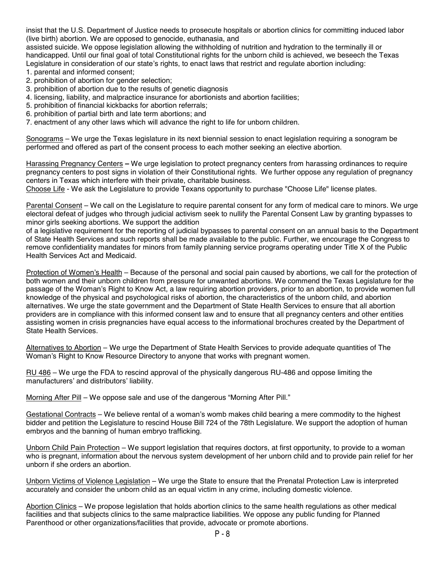insist that the U.S. Department of Justice needs to prosecute hospitals or abortion clinics for committing induced labor (live birth) abortion. We are opposed to genocide, euthanasia, and

assisted suicide. We oppose legislation allowing the withholding of nutrition and hydration to the terminally ill or handicapped. Until our final goal of total Constitutional rights for the unborn child is achieved, we beseech the Texas Legislature in consideration of our state's rights, to enact laws that restrict and regulate abortion including:

- 1. parental and informed consent;
- 2. prohibition of abortion for gender selection;
- 3. prohibition of abortion due to the results of genetic diagnosis
- 4. licensing, liability, and malpractice insurance for abortionists and abortion facilities;
- 5. prohibition of financial kickbacks for abortion referrals;
- 6. prohibition of partial birth and late term abortions; and
- 7. enactment of any other laws which will advance the right to life for unborn children.

Sonograms – We urge the Texas legislature in its next biennial session to enact legislation requiring a sonogram be performed and offered as part of the consent process to each mother seeking an elective abortion.

Harassing Pregnancy Centers **–** We urge legislation to protect pregnancy centers from harassing ordinances to require pregnancy centers to post signs in violation of their Constitutional rights. We further oppose any regulation of pregnancy centers in Texas which interfere with their private, charitable business.

Choose Life - We ask the Legislature to provide Texans opportunity to purchase "Choose Life" license plates.

Parental Consent – We call on the Legislature to require parental consent for any form of medical care to minors. We urge electoral defeat of judges who through judicial activism seek to nullify the Parental Consent Law by granting bypasses to minor girls seeking abortions. We support the addition

of a legislative requirement for the reporting of judicial bypasses to parental consent on an annual basis to the Department of State Health Services and such reports shall be made available to the public. Further, we encourage the Congress to remove confidentiality mandates for minors from family planning service programs operating under Title X of the Public Health Services Act and Medicaid.

Protection of Women's Health – Because of the personal and social pain caused by abortions, we call for the protection of both women and their unborn children from pressure for unwanted abortions. We commend the Texas Legislature for the passage of the Woman's Right to Know Act, a law requiring abortion providers, prior to an abortion, to provide women full knowledge of the physical and psychological risks of abortion, the characteristics of the unborn child, and abortion alternatives. We urge the state government and the Department of State Health Services to ensure that all abortion providers are in compliance with this informed consent law and to ensure that all pregnancy centers and other entities assisting women in crisis pregnancies have equal access to the informational brochures created by the Department of State Health Services.

Alternatives to Abortion – We urge the Department of State Health Services to provide adequate quantities of The Woman's Right to Know Resource Directory to anyone that works with pregnant women.

RU 486 – We urge the FDA to rescind approval of the physically dangerous RU-486 and oppose limiting the manufacturers' and distributors' liability.

Morning After Pill – We oppose sale and use of the dangerous "Morning After Pill."

Gestational Contracts – We believe rental of a woman's womb makes child bearing a mere commodity to the highest bidder and petition the Legislature to rescind House Bill 724 of the 78th Legislature. We support the adoption of human embryos and the banning of human embryo trafficking.

Unborn Child Pain Protection – We support legislation that requires doctors, at first opportunity, to provide to a woman who is pregnant, information about the nervous system development of her unborn child and to provide pain relief for her unborn if she orders an abortion.

Unborn Victims of Violence Legislation – We urge the State to ensure that the Prenatal Protection Law is interpreted accurately and consider the unborn child as an equal victim in any crime, including domestic violence.

Abortion Clinics – We propose legislation that holds abortion clinics to the same health regulations as other medical facilities and that subjects clinics to the same malpractice liabilities. We oppose any public funding for Planned Parenthood or other organizations/facilities that provide, advocate or promote abortions.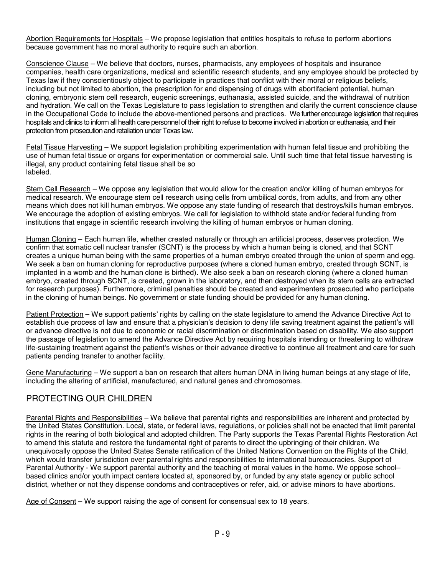Abortion Requirements for Hospitals – We propose legislation that entitles hospitals to refuse to perform abortions because government has no moral authority to require such an abortion.

Conscience Clause – We believe that doctors, nurses, pharmacists, any employees of hospitals and insurance companies, health care organizations, medical and scientific research students, and any employee should be protected by Texas law if they conscientiously object to participate in practices that conflict with their moral or religious beliefs, including but not limited to abortion, the prescription for and dispensing of drugs with abortifacient potential, human cloning, embryonic stem cell research, eugenic screenings, euthanasia, assisted suicide, and the withdrawal of nutrition and hydration. We call on the Texas Legislature to pass legislation to strengthen and clarify the current conscience clause in the Occupational Code to include the above-mentioned persons and practices. We further encourage legislation that requires hospitals and clinics to inform all health care personnel of their right to refuse to become involved in abortion or euthanasia, and their protection from prosecution and retaliation under Texas law.

Fetal Tissue Harvesting – We support legislation prohibiting experimentation with human fetal tissue and prohibiting the use of human fetal tissue or organs for experimentation or commercial sale. Until such time that fetal tissue harvesting is illegal, any product containing fetal tissue shall be so labeled.

Stem Cell Research – We oppose any legislation that would allow for the creation and/or killing of human embryos for medical research. We encourage stem cell research using cells from umbilical cords, from adults, and from any other means which does not kill human embryos. We oppose any state funding of research that destroys/kills human embryos. We encourage the adoption of existing embryos. We call for legislation to withhold state and/or federal funding from institutions that engage in scientific research involving the killing of human embryos or human cloning.

Human Cloning – Each human life, whether created naturally or through an artificial process, deserves protection. We confirm that somatic cell nuclear transfer (SCNT) is the process by which a human being is cloned, and that SCNT creates a unique human being with the same properties of a human embryo created through the union of sperm and egg. We seek a ban on human cloning for reproductive purposes (where a cloned human embryo, created through SCNT, is implanted in a womb and the human clone is birthed). We also seek a ban on research cloning (where a cloned human embryo, created through SCNT, is created, grown in the laboratory, and then destroyed when its stem cells are extracted for research purposes). Furthermore, criminal penalties should be created and experimenters prosecuted who participate in the cloning of human beings. No government or state funding should be provided for any human cloning.

Patient Protection – We support patients' rights by calling on the state legislature to amend the Advance Directive Act to establish due process of law and ensure that a physician's decision to deny life saving treatment against the patient's will or advance directive is not due to economic or racial discrimination or discrimination based on disability. We also support the passage of legislation to amend the Advance Directive Act by requiring hospitals intending or threatening to withdraw life-sustaining treatment against the patient's wishes or their advance directive to continue all treatment and care for such patients pending transfer to another facility.

Gene Manufacturing – We support a ban on research that alters human DNA in living human beings at any stage of life, including the altering of artificial, manufactured, and natural genes and chromosomes.

### PROTECTING OUR CHILDREN

Parental Rights and Responsibilities – We believe that parental rights and responsibilities are inherent and protected by the United States Constitution. Local, state, or federal laws, regulations, or policies shall not be enacted that limit parental rights in the rearing of both biological and adopted children. The Party supports the Texas Parental Rights Restoration Act to amend this statute and restore the fundamental right of parents to direct the upbringing of their children. We unequivocally oppose the United States Senate ratification of the United Nations Convention on the Rights of the Child, which would transfer jurisdiction over parental rights and responsibilities to international bureaucracies. Support of Parental Authority - We support parental authority and the teaching of moral values in the home. We oppose school– based clinics and/or youth impact centers located at, sponsored by, or funded by any state agency or public school district, whether or not they dispense condoms and contraceptives or refer, aid, or advise minors to have abortions.

Age of Consent – We support raising the age of consent for consensual sex to 18 years.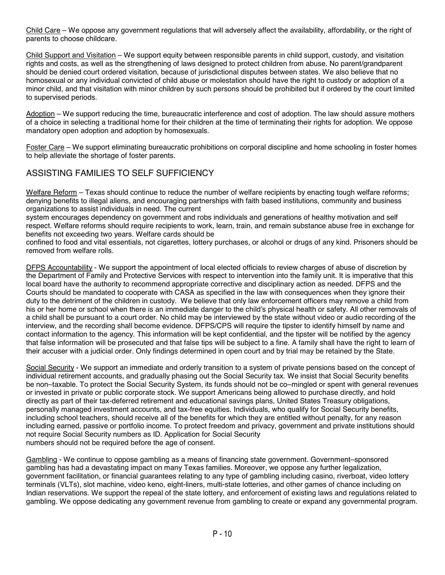Child Care – We oppose any government regulations that will adversely affect the availability, affordability, or the right of parents to choose childcare.

Child Support and Visitation – We support equity between responsible parents in child support, custody, and visitation rights and costs, as well as the strengthening of laws designed to protect children from abuse. No parent/grandparent should be denied court ordered visitation, because of jurisdictional disputes between states. We also believe that no homosexual or any individual convicted of child abuse or molestation should have the right to custody or adoption of a minor child, and that visitation with minor children by such persons should be prohibited but if ordered by the court limited to supervised periods.

Adoption – We support reducing the time, bureaucratic interference and cost of adoption. The law should assure mothers of a choice in selecting a traditional home for their children at the time of terminating their rights for adoption. We oppose mandatory open adoption and adoption by homosexuals.

Foster Care – We support eliminating bureaucratic prohibitions on corporal discipline and home schooling in foster homes to help alleviate the shortage of foster parents.

### ASSISTING FAMILIES TO SELF SUFFICIENCY

Welfare Reform – Texas should continue to reduce the number of welfare recipients by enacting tough welfare reforms; denying benefits to illegal aliens, and encouraging partnerships with faith based institutions, community and business organizations to assist individuals in need. The current

system encourages dependency on government and robs individuals and generations of healthy motivation and self respect. Welfare reforms should require recipients to work, learn, train, and remain substance abuse free in exchange for benefits not exceeding two years. Welfare cards should be

confined to food and vital essentials, not cigarettes, lottery purchases, or alcohol or drugs of any kind. Prisoners should be removed from welfare rolls.

DFPS Accountability - We support the appointment of local elected officials to review charges of abuse of discretion by the Department of Family and Protective Services with respect to intervention into the family unit. It is imperative that this local board have the authority to recommend appropriate corrective and disciplinary action as needed. DFPS and the Courts should be mandated to cooperate with CASA as specified in the law with consequences when they ignore their duty to the detriment of the children in custody. We believe that only law enforcement officers may remove a child from his or her home or school when there is an immediate danger to the child's physical health or safety. All other removals of a child shall be pursuant to a court order. No child may be interviewed by the state without video or audio recording of the interview, and the recording shall become evidence. DFPS/CPS will require the tipster to identify himself by name and contact information to the agency. This information will be kept confidential, and the tipster will be notified by the agency that false information will be prosecuted and that false tips will be subject to a fine. A family shall have the right to learn of their accuser with a judicial order. Only findings determined in open court and by trial may be retained by the State.

Social Security - We support an immediate and orderly transition to a system of private pensions based on the concept of individual retirement accounts, and gradually phasing out the Social Security tax. We insist that Social Security benefits be non–taxable. To protect the Social Security System, its funds should not be co–mingled or spent with general revenues or invested in private or public corporate stock. We support Americans being allowed to purchase directly, and hold directly as part of their tax-deferred retirement and educational savings plans, United States Treasury obligations, personally managed investment accounts, and tax-free equities. Individuals, who qualify for Social Security benefits, including school teachers, should receive all of the benefits for which they are entitled without penalty, for any reason including earned, passive or portfolio income. To protect freedom and privacy, government and private institutions should not require Social Security numbers as ID. Application for Social Security numbers should not be required before the age of consent.

Gambling - We continue to oppose gambling as a means of financing state government. Government–sponsored gambling has had a devastating impact on many Texas families. Moreover, we oppose any further legalization, government facilitation, or financial guarantees relating to any type of gambling including casino, riverboat, video lottery terminals (VLTs), slot machine, video keno, eight-liners, multi-state lotteries, and other games of chance including on Indian reservations. We support the repeal of the state lottery, and enforcement of existing laws and regulations related to gambling. We oppose dedicating any government revenue from gambling to create or expand any governmental program.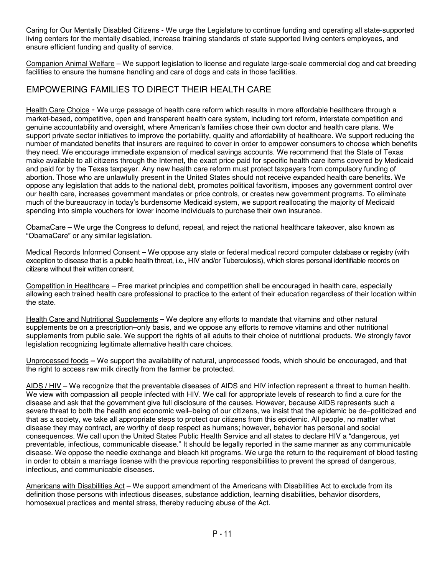Caring for Our Mentally Disabled Citizens - We urge the Legislature to continue funding and operating all state-supported living centers for the mentally disabled, increase training standards of state supported living centers employees, and ensure efficient funding and quality of service.

Companion Animal Welfare – We support legislation to license and regulate large-scale commercial dog and cat breeding facilities to ensure the humane handling and care of dogs and cats in those facilities.

### EMPOWERING FAMILIES TO DIRECT THEIR HEALTH CARE

Health Care Choice - We urge passage of health care reform which results in more affordable healthcare through a market-based, competitive, open and transparent health care system, including tort reform, interstate competition and genuine accountability and oversight, where American's families chose their own doctor and health care plans. We support private sector initiatives to improve the portability, quality and affordability of healthcare. We support reducing the number of mandated benefits that insurers are required to cover in order to empower consumers to choose which benefits they need. We encourage immediate expansion of medical savings accounts. We recommend that the State of Texas make available to all citizens through the Internet, the exact price paid for specific health care items covered by Medicaid and paid for by the Texas taxpayer. Any new health care reform must protect taxpayers from compulsory funding of abortion. Those who are unlawfully present in the United States should not receive expanded health care benefits. We oppose any legislation that adds to the national debt, promotes political favoritism, imposes any government control over our health care, increases government mandates or price controls, or creates new government programs. To eliminate much of the bureaucracy in today's burdensome Medicaid system, we support reallocating the majority of Medicaid spending into simple vouchers for lower income individuals to purchase their own insurance.

ObamaCare – We urge the Congress to defund, repeal, and reject the national healthcare takeover, also known as "ObamaCare" or any similar legislation.

Medical Records Informed Consent **–** We oppose any state or federal medical record computer database or registry (with exception to disease that is a public health threat, i.e., HIV and/or Tuberculosis), which stores personal identifiable records on citizens without their written consent.

Competition in Healthcare – Free market principles and competition shall be encouraged in health care, especially allowing each trained health care professional to practice to the extent of their education regardless of their location within the state.

Health Care and Nutritional Supplements – We deplore any efforts to mandate that vitamins and other natural supplements be on a prescription–only basis, and we oppose any efforts to remove vitamins and other nutritional supplements from public sale. We support the rights of all adults to their choice of nutritional products. We strongly favor legislation recognizing legitimate alternative health care choices.

Unprocessed foods **–** We support the availability of natural, unprocessed foods, which should be encouraged, and that the right to access raw milk directly from the farmer be protected.

AIDS / HIV – We recognize that the preventable diseases of AIDS and HIV infection represent a threat to human health. We view with compassion all people infected with HIV. We call for appropriate levels of research to find a cure for the disease and ask that the government give full disclosure of the causes. However, because AIDS represents such a severe threat to both the health and economic well–being of our citizens, we insist that the epidemic be de–politicized and that as a society, we take all appropriate steps to protect our citizens from this epidemic. All people, no matter what disease they may contract, are worthy of deep respect as humans; however, behavior has personal and social consequences. We call upon the United States Public Health Service and all states to declare HIV a "dangerous, yet preventable, infectious, communicable disease." It should be legally reported in the same manner as any communicable disease. We oppose the needle exchange and bleach kit programs. We urge the return to the requirement of blood testing in order to obtain a marriage license with the previous reporting responsibilities to prevent the spread of dangerous, infectious, and communicable diseases.

Americans with Disabilities Act – We support amendment of the Americans with Disabilities Act to exclude from its definition those persons with infectious diseases, substance addiction, learning disabilities, behavior disorders, homosexual practices and mental stress, thereby reducing abuse of the Act.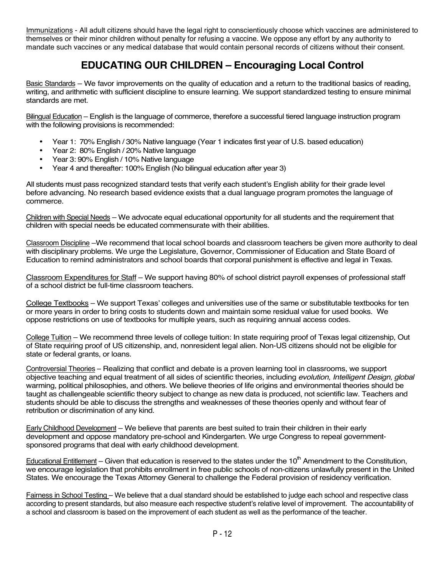Immunizations - All adult citizens should have the legal right to conscientiously choose which vaccines are administered to themselves or their minor children without penalty for refusing a vaccine. We oppose any effort by any authority to mandate such vaccines or any medical database that would contain personal records of citizens without their consent.

## **EDUCATING OUR CHILDREN – Encouraging Local Control**

Basic Standards – We favor improvements on the quality of education and a return to the traditional basics of reading, writing, and arithmetic with sufficient discipline to ensure learning. We support standardized testing to ensure minimal standards are met.

Bilingual Education – English is the language of commerce, therefore a successful tiered language instruction program with the following provisions is recommended:

- Year 1: 70% English / 30% Native language (Year 1 indicates first year of U.S. based education)
- Year 2: 80% English / 20% Native language<br>• Year 3: 90% English / 10% Native language
- Year 3: 90% English / 10% Native language
- Year 4 and thereafter: 100% English (No bilingual education after year 3)

All students must pass recognized standard tests that verify each student's English ability for their grade level before advancing. No research based evidence exists that a dual language program promotes the language of commerce.

Children with Special Needs – We advocate equal educational opportunity for all students and the requirement that children with special needs be educated commensurate with their abilities.

Classroom Discipline –We recommend that local school boards and classroom teachers be given more authority to deal with disciplinary problems. We urge the Legislature, Governor, Commissioner of Education and State Board of Education to remind administrators and school boards that corporal punishment is effective and legal in Texas.

Classroom Expenditures for Staff – We support having 80% of school district payroll expenses of professional staff of a school district be full-time classroom teachers.

College Textbooks – We support Texas' colleges and universities use of the same or substitutable textbooks for ten or more years in order to bring costs to students down and maintain some residual value for used books. We oppose restrictions on use of textbooks for multiple years, such as requiring annual access codes.

College Tuition – We recommend three levels of college tuition: In state requiring proof of Texas legal citizenship, Out of State requiring proof of US citizenship, and, nonresident legal alien. Non-US citizens should not be eligible for state or federal grants, or loans.

Controversial Theories – Realizing that conflict and debate is a proven learning tool in classrooms, we support objective teaching and equal treatment of all sides of scientific theories, including *evolution, Intelligent Design, global* warming, political philosophies, and others. We believe theories of life origins and environmental theories should be taught as challengeable scientific theory subject to change as new data is produced, not scientific law. Teachers and students should be able to discuss the strengths and weaknesses of these theories openly and without fear of retribution or discrimination of any kind.

Early Childhood Development – We believe that parents are best suited to train their children in their early development and oppose mandatory pre-school and Kindergarten. We urge Congress to repeal governmentsponsored programs that deal with early childhood development.

Educational Entitlement – Given that education is reserved to the states under the  $10<sup>th</sup>$  Amendment to the Constitution, we encourage legislation that prohibits enrollment in free public schools of non-citizens unlawfully present in the United States. We encourage the Texas Attorney General to challenge the Federal provision of residency verification.

Fairness in School Testing – We believe that a dual standard should be established to judge each school and respective class according to present standards, but also measure each respective student's relative level of improvement. The accountability of a school and classroom is based on the improvement of each student as well as the performance of the teacher.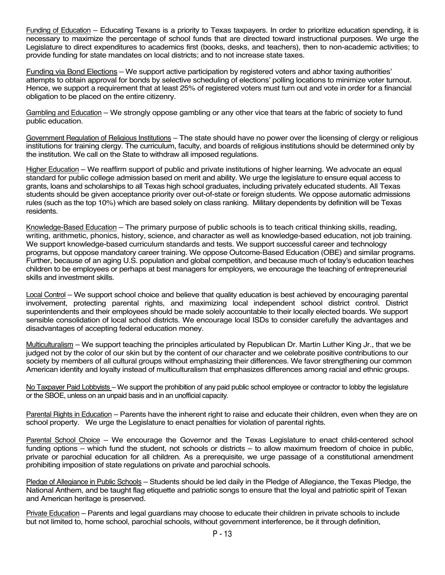Funding of Education – Educating Texans is a priority to Texas taxpayers. In order to prioritize education spending, it is necessary to maximize the percentage of school funds that are directed toward instructional purposes. We urge the Legislature to direct expenditures to academics first (books, desks, and teachers), then to non-academic activities; to provide funding for state mandates on local districts; and to not increase state taxes.

Funding via Bond Elections – We support active participation by registered voters and abhor taxing authorities' attempts to obtain approval for bonds by selective scheduling of elections' polling locations to minimize voter turnout. Hence, we support a requirement that at least 25% of registered voters must turn out and vote in order for a financial obligation to be placed on the entire citizenry.

Gambling and Education – We strongly oppose gambling or any other vice that tears at the fabric of society to fund public education.

Government Regulation of Religious Institutions – The state should have no power over the licensing of clergy or religious institutions for training clergy. The curriculum, faculty, and boards of religious institutions should be determined only by the institution. We call on the State to withdraw all imposed regulations.

Higher Education – We reaffirm support of public and private institutions of higher learning. We advocate an equal standard for public college admission based on merit and ability. We urge the legislature to ensure equal access to grants, loans and scholarships to all Texas high school graduates, including privately educated students. All Texas students should be given acceptance priority over out-of-state or foreign students. We oppose automatic admissions rules (such as the top 10%) which are based solely on class ranking. Military dependents by definition will be Texas residents.

Knowledge-Based Education – The primary purpose of public schools is to teach critical thinking skills, reading, writing, arithmetic, phonics, history, science, and character as well as knowledge-based education, not job training. We support knowledge-based curriculum standards and tests. We support successful career and technology programs, but oppose mandatory career training. We oppose Outcome-Based Education (OBE) and similar programs. Further, because of an aging U.S. population and global competition, and because much of today's education teaches children to be employees or perhaps at best managers for employers, we encourage the teaching of entrepreneurial skills and investment skills.

Local Control – We support school choice and believe that quality education is best achieved by encouraging parental involvement, protecting parental rights, and maximizing local independent school district control. District superintendents and their employees should be made solely accountable to their locally elected boards. We support sensible consolidation of local school districts. We encourage local ISDs to consider carefully the advantages and disadvantages of accepting federal education money.

Multiculturalism – We support teaching the principles articulated by Republican Dr. Martin Luther King Jr., that we be judged not by the color of our skin but by the content of our character and we celebrate positive contributions to our society by members of all cultural groups without emphasizing their differences. We favor strengthening our common American identity and loyalty instead of multiculturalism that emphasizes differences among racial and ethnic groups.

No Taxpayer Paid Lobbyists – We support the prohibition of any paid public school employee or contractor to lobby the legislature or the SBOE, unless on an unpaid basis and in an unofficial capacity.

Parental Rights in Education – Parents have the inherent right to raise and educate their children, even when they are on school property. We urge the Legislature to enact penalties for violation of parental rights.

Parental School Choice – We encourage the Governor and the Texas Legislature to enact child-centered school funding options – which fund the student, not schools or districts – to allow maximum freedom of choice in public, private or parochial education for all children. As a prerequisite, we urge passage of a constitutional amendment prohibiting imposition of state regulations on private and parochial schools.

Pledge of Allegiance in Public Schools – Students should be led daily in the Pledge of Allegiance, the Texas Pledge, the National Anthem, and be taught flag etiquette and patriotic songs to ensure that the loyal and patriotic spirit of Texan and American heritage is preserved.

Private Education – Parents and legal guardians may choose to educate their children in private schools to include but not limited to, home school, parochial schools, without government interference, be it through definition,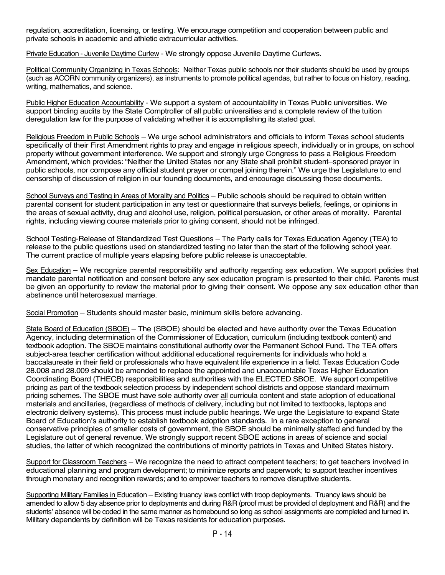regulation, accreditation, licensing, or testing. We encourage competition and cooperation between public and private schools in academic and athletic extracurricular activities.

Private Education - Juvenile Daytime Curfew - We strongly oppose Juvenile Daytime Curfews.

Political Community Organizing in Texas Schools: Neither Texas public schools nor their students should be used by groups (such as ACORN community organizers), as instruments to promote political agendas, but rather to focus on history, reading, writing, mathematics, and science.

Public Higher Education Accountability - We support a system of accountability in Texas Public universities. We support binding audits by the State Comptroller of all public universities and a complete review of the tuition deregulation law for the purpose of validating whether it is accomplishing its stated goal.

Religious Freedom in Public Schools – We urge school administrators and officials to inform Texas school students specifically of their First Amendment rights to pray and engage in religious speech, individually or in groups, on school property without government interference. We support and strongly urge Congress to pass a Religious Freedom Amendment, which provides: "Neither the United States nor any State shall prohibit student–sponsored prayer in public schools, nor compose any official student prayer or compel joining therein." We urge the Legislature to end censorship of discussion of religion in our founding documents, and encourage discussing those documents.

School Surveys and Testing in Areas of Morality and Politics – Public schools should be required to obtain written parental consent for student participation in any test or questionnaire that surveys beliefs, feelings, or opinions in the areas of sexual activity, drug and alcohol use, religion, political persuasion, or other areas of morality. Parental rights, including viewing course materials prior to giving consent, should not be infringed.

School Testing-Release of Standardized Test Questions – The Party calls for Texas Education Agency (TEA) to release to the public questions used on standardized testing no later than the start of the following school year. The current practice of multiple years elapsing before public release is unacceptable.

Sex Education – We recognize parental responsibility and authority regarding sex education. We support policies that mandate parental notification and consent before any sex education program is presented to their child. Parents must be given an opportunity to review the material prior to giving their consent. We oppose any sex education other than abstinence until heterosexual marriage.

Social Promotion – Students should master basic, minimum skills before advancing.

State Board of Education (SBOE) – The (SBOE) should be elected and have authority over the Texas Education Agency, including determination of the Commissioner of Education, curriculum (including textbook content) and textbook adoption. The SBOE maintains constitutional authority over the Permanent School Fund. The TEA offers subject-area teacher certification without additional educational requirements for individuals who hold a baccalaureate in their field or professionals who have equivalent life experience in a field. Texas Education Code 28.008 and 28.009 should be amended to replace the appointed and unaccountable Texas Higher Education Coordinating Board (THECB) responsibilities and authorities with the ELECTED SBOE. We support competitive pricing as part of the textbook selection process by independent school districts and oppose standard maximum pricing schemes. The SBOE must have sole authority over all curricula content and state adoption of educational materials and ancillaries, (regardless of methods of delivery, including but not limited to textbooks, laptops and electronic delivery systems). This process must include public hearings. We urge the Legislature to expand State Board of Education's authority to establish textbook adoption standards. In a rare exception to general conservative principles of smaller costs of government, the SBOE should be minimally staffed and funded by the Legislature out of general revenue. We strongly support recent SBOE actions in areas of science and social studies, the latter of which recognized the contributions of minority patriots in Texas and United States history.

Support for Classroom Teachers – We recognize the need to attract competent teachers; to get teachers involved in educational planning and program development; to minimize reports and paperwork; to support teacher incentives through monetary and recognition rewards; and to empower teachers to remove disruptive students.

Supporting Military Families in Education – Existing truancy laws conflict with troop deployments. Truancy laws should be amended to allow 5 day absence prior to deployments and during R&R (proof must be provided of deployment and R&R) and the students' absence will be coded in the same manner as homebound so long as school assignments are completed and turned in. Military dependents by definition will be Texas residents for education purposes.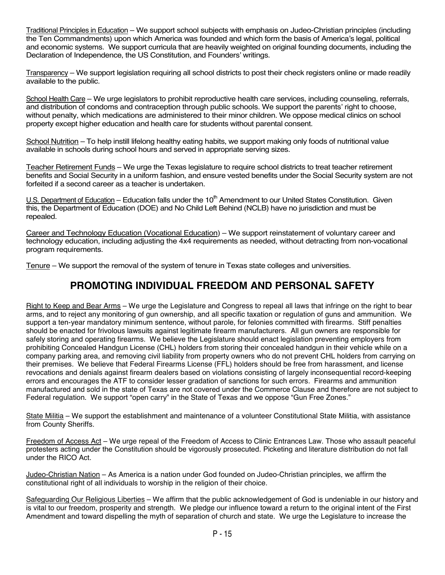Traditional Principles in Education – We support school subjects with emphasis on Judeo-Christian principles (including the Ten Commandments) upon which America was founded and which form the basis of America's legal, political and economic systems. We support curricula that are heavily weighted on original founding documents, including the Declaration of Independence, the US Constitution, and Founders' writings.

Transparency – We support legislation requiring all school districts to post their check registers online or made readily available to the public.

School Health Care – We urge legislators to prohibit reproductive health care services, including counseling, referrals, and distribution of condoms and contraception through public schools. We support the parents' right to choose, without penalty, which medications are administered to their minor children. We oppose medical clinics on school property except higher education and health care for students without parental consent.

School Nutrition – To help instill lifelong healthy eating habits, we support making only foods of nutritional value available in schools during school hours and served in appropriate serving sizes.

Teacher Retirement Funds - We urge the Texas legislature to require school districts to treat teacher retirement benefits and Social Security in a uniform fashion, and ensure vested benefits under the Social Security system are not forfeited if a second career as a teacher is undertaken.

 $U.S.$  Department of Education – Education falls under the 10<sup>th</sup> Amendment to our United States Constitution. Given this, the Department of Education (DOE) and No Child Left Behind (NCLB) have no jurisdiction and must be repealed.

Career and Technology Education (Vocational Education) – We support reinstatement of voluntary career and technology education, including adjusting the 4x4 requirements as needed, without detracting from non-vocational program requirements.

Tenure – We support the removal of the system of tenure in Texas state colleges and universities.

### **PROMOTING INDIVIDUAL FREEDOM AND PERSONAL SAFETY**

Right to Keep and Bear Arms – We urge the Legislature and Congress to repeal all laws that infringe on the right to bear arms, and to reject any monitoring of gun ownership, and all specific taxation or regulation of guns and ammunition. We support a ten-year mandatory minimum sentence, without parole, for felonies committed with firearms. Stiff penalties should be enacted for frivolous lawsuits against legitimate firearm manufacturers. All gun owners are responsible for safely storing and operating firearms. We believe the Legislature should enact legislation preventing employers from prohibiting Concealed Handgun License (CHL) holders from storing their concealed handgun in their vehicle while on a company parking area, and removing civil liability from property owners who do not prevent CHL holders from carrying on their premises. We believe that Federal Firearms License (FFL) holders should be free from harassment, and license revocations and denials against firearm dealers based on violations consisting of largely inconsequential record-keeping errors and encourages the ATF to consider lesser gradation of sanctions for such errors. Firearms and ammunition manufactured and sold in the state of Texas are not covered under the Commerce Clause and therefore are not subject to Federal regulation. We support "open carry" in the State of Texas and we oppose "Gun Free Zones."

State Militia – We support the establishment and maintenance of a volunteer Constitutional State Militia, with assistance from County Sheriffs.

Freedom of Access Act – We urge repeal of the Freedom of Access to Clinic Entrances Law. Those who assault peaceful protesters acting under the Constitution should be vigorously prosecuted. Picketing and literature distribution do not fall under the RICO Act.

Judeo-Christian Nation – As America is a nation under God founded on Judeo-Christian principles, we affirm the constitutional right of all individuals to worship in the religion of their choice.

Safeguarding Our Religious Liberties – We affirm that the public acknowledgement of God is undeniable in our history and is vital to our freedom, prosperity and strength. We pledge our influence toward a return to the original intent of the First Amendment and toward dispelling the myth of separation of church and state. We urge the Legislature to increase the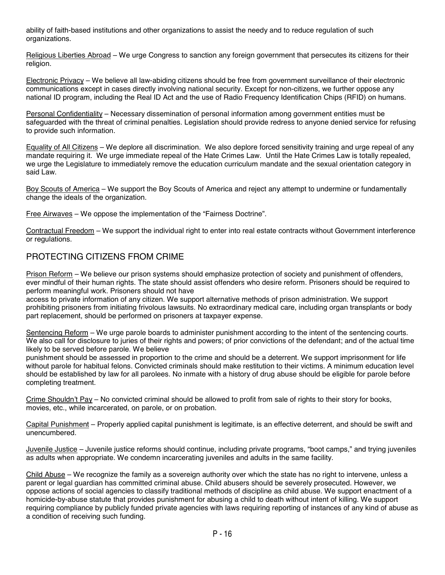ability of faith-based institutions and other organizations to assist the needy and to reduce regulation of such organizations.

Religious Liberties Abroad – We urge Congress to sanction any foreign government that persecutes its citizens for their religion.

Electronic Privacy – We believe all law-abiding citizens should be free from government surveillance of their electronic communications except in cases directly involving national security. Except for non-citizens, we further oppose any national ID program, including the Real ID Act and the use of Radio Frequency Identification Chips (RFID) on humans.

Personal Confidentiality – Necessary dissemination of personal information among government entities must be safeguarded with the threat of criminal penalties. Legislation should provide redress to anyone denied service for refusing to provide such information.

Equality of All Citizens – We deplore all discrimination. We also deplore forced sensitivity training and urge repeal of any mandate requiring it. We urge immediate repeal of the Hate Crimes Law. Until the Hate Crimes Law is totally repealed, we urge the Legislature to immediately remove the education curriculum mandate and the sexual orientation category in said Law.

Boy Scouts of America – We support the Boy Scouts of America and reject any attempt to undermine or fundamentally change the ideals of the organization.

Free Airwaves – We oppose the implementation of the "Fairness Doctrine".

Contractual Freedom – We support the individual right to enter into real estate contracts without Government interference or regulations.

### PROTECTING CITIZENS FROM CRIME

Prison Reform – We believe our prison systems should emphasize protection of society and punishment of offenders, ever mindful of their human rights. The state should assist offenders who desire reform. Prisoners should be required to perform meaningful work. Prisoners should not have

access to private information of any citizen. We support alternative methods of prison administration. We support prohibiting prisoners from initiating frivolous lawsuits. No extraordinary medical care, including organ transplants or body part replacement, should be performed on prisoners at taxpayer expense.

Sentencing Reform – We urge parole boards to administer punishment according to the intent of the sentencing courts. We also call for disclosure to juries of their rights and powers; of prior convictions of the defendant; and of the actual time likely to be served before parole. We believe

punishment should be assessed in proportion to the crime and should be a deterrent. We support imprisonment for life without parole for habitual felons. Convicted criminals should make restitution to their victims. A minimum education level should be established by law for all parolees. No inmate with a history of drug abuse should be eligible for parole before completing treatment.

Crime Shouldn't Pay – No convicted criminal should be allowed to profit from sale of rights to their story for books, movies, etc., while incarcerated, on parole, or on probation.

Capital Punishment – Properly applied capital punishment is legitimate, is an effective deterrent, and should be swift and unencumbered.

Juvenile Justice – Juvenile justice reforms should continue, including private programs, "boot camps," and trying juveniles as adults when appropriate. We condemn incarcerating juveniles and adults in the same facility.

Child Abuse – We recognize the family as a sovereign authority over which the state has no right to intervene, unless a parent or legal guardian has committed criminal abuse. Child abusers should be severely prosecuted. However, we oppose actions of social agencies to classify traditional methods of discipline as child abuse. We support enactment of a homicide-by-abuse statute that provides punishment for abusing a child to death without intent of killing. We support requiring compliance by publicly funded private agencies with laws requiring reporting of instances of any kind of abuse as a condition of receiving such funding.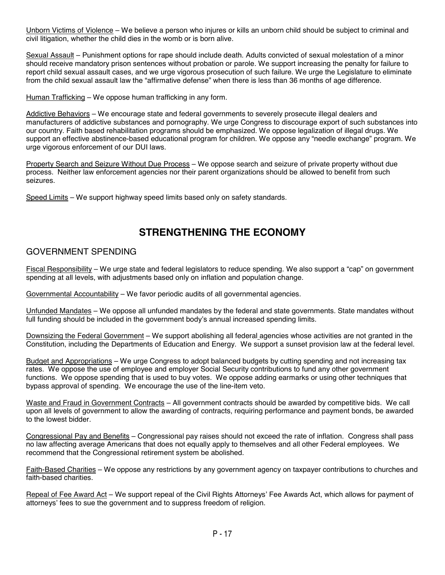Unborn Victims of Violence – We believe a person who injures or kills an unborn child should be subject to criminal and civil litigation, whether the child dies in the womb or is born alive.

Sexual Assault – Punishment options for rape should include death. Adults convicted of sexual molestation of a minor should receive mandatory prison sentences without probation or parole. We support increasing the penalty for failure to report child sexual assault cases, and we urge vigorous prosecution of such failure. We urge the Legislature to eliminate from the child sexual assault law the "affirmative defense" when there is less than 36 months of age difference.

Human Trafficking – We oppose human trafficking in any form.

Addictive Behaviors – We encourage state and federal governments to severely prosecute illegal dealers and manufacturers of addictive substances and pornography. We urge Congress to discourage export of such substances into our country. Faith based rehabilitation programs should be emphasized. We oppose legalization of illegal drugs. We support an effective abstinence-based educational program for children. We oppose any "needle exchange" program. We urge vigorous enforcement of our DUI laws.

Property Search and Seizure Without Due Process – We oppose search and seizure of private property without due process. Neither law enforcement agencies nor their parent organizations should be allowed to benefit from such seizures.

Speed Limits – We support highway speed limits based only on safety standards.

### **STRENGTHENING THE ECONOMY**

### GOVERNMENT SPENDING

Fiscal Responsibility – We urge state and federal legislators to reduce spending. We also support a "cap" on government spending at all levels, with adjustments based only on inflation and population change.

Governmental Accountability – We favor periodic audits of all governmental agencies.

Unfunded Mandates – We oppose all unfunded mandates by the federal and state governments. State mandates without full funding should be included in the government body's annual increased spending limits.

Downsizing the Federal Government – We support abolishing all federal agencies whose activities are not granted in the Constitution, including the Departments of Education and Energy. We support a sunset provision law at the federal level.

Budget and Appropriations – We urge Congress to adopt balanced budgets by cutting spending and not increasing tax rates. We oppose the use of employee and employer Social Security contributions to fund any other government functions. We oppose spending that is used to buy votes. We oppose adding earmarks or using other techniques that bypass approval of spending. We encourage the use of the line-item veto.

Waste and Fraud in Government Contracts – All government contracts should be awarded by competitive bids. We call upon all levels of government to allow the awarding of contracts, requiring performance and payment bonds, be awarded to the lowest bidder.

Congressional Pay and Benefits – Congressional pay raises should not exceed the rate of inflation. Congress shall pass no law affecting average Americans that does not equally apply to themselves and all other Federal employees. We recommend that the Congressional retirement system be abolished.

Faith-Based Charities – We oppose any restrictions by any government agency on taxpayer contributions to churches and faith-based charities.

Repeal of Fee Award Act – We support repeal of the Civil Rights Attorneys' Fee Awards Act, which allows for payment of attorneys' fees to sue the government and to suppress freedom of religion.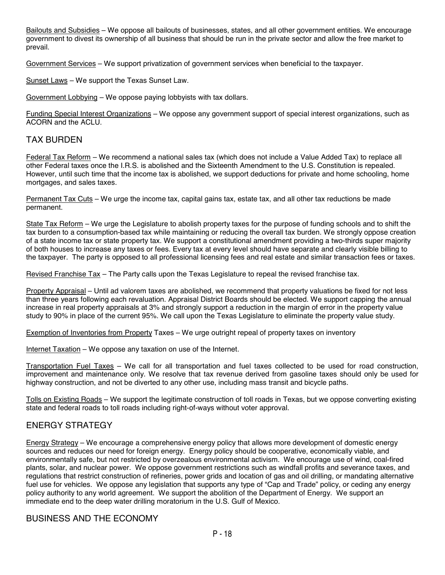Bailouts and Subsidies – We oppose all bailouts of businesses, states, and all other government entities. We encourage government to divest its ownership of all business that should be run in the private sector and allow the free market to prevail.

Government Services – We support privatization of government services when beneficial to the taxpayer.

Sunset Laws – We support the Texas Sunset Law.

Government Lobbying – We oppose paying lobbyists with tax dollars.

Funding Special Interest Organizations – We oppose any government support of special interest organizations, such as ACORN and the ACLU.

### TAX BURDEN

Federal Tax Reform – We recommend a national sales tax (which does not include a Value Added Tax) to replace all other Federal taxes once the I.R.S. is abolished and the Sixteenth Amendment to the U.S. Constitution is repealed. However, until such time that the income tax is abolished, we support deductions for private and home schooling, home mortgages, and sales taxes.

Permanent Tax Cuts – We urge the income tax, capital gains tax, estate tax, and all other tax reductions be made permanent.

State Tax Reform – We urge the Legislature to abolish property taxes for the purpose of funding schools and to shift the tax burden to a consumption-based tax while maintaining or reducing the overall tax burden. We strongly oppose creation of a state income tax or state property tax. We support a constitutional amendment providing a two-thirds super majority of both houses to increase any taxes or fees. Every tax at every level should have separate and clearly visible billing to the taxpayer. The party is opposed to all professional licensing fees and real estate and similar transaction fees or taxes.

Revised Franchise Tax – The Party calls upon the Texas Legislature to repeal the revised franchise tax.

Property Appraisal – Until ad valorem taxes are abolished, we recommend that property valuations be fixed for not less than three years following each revaluation. Appraisal District Boards should be elected. We support capping the annual increase in real property appraisals at 3% and strongly support a reduction in the margin of error in the property value study to 90% in place of the current 95%. We call upon the Texas Legislature to eliminate the property value study.

Exemption of Inventories from Property Taxes – We urge outright repeal of property taxes on inventory

Internet Taxation – We oppose any taxation on use of the Internet.

Transportation Fuel Taxes – We call for all transportation and fuel taxes collected to be used for road construction, improvement and maintenance only. We resolve that tax revenue derived from gasoline taxes should only be used for highway construction, and not be diverted to any other use, including mass transit and bicycle paths.

Tolls on Existing Roads – We support the legitimate construction of toll roads in Texas, but we oppose converting existing state and federal roads to toll roads including right-of-ways without voter approval.

### ENERGY STRATEGY

Energy Strategy – We encourage a comprehensive energy policy that allows more development of domestic energy sources and reduces our need for foreign energy. Energy policy should be cooperative, economically viable, and environmentally safe, but not restricted by overzealous environmental activism. We encourage use of wind, coal-fired plants, solar, and nuclear power. We oppose government restrictions such as windfall profits and severance taxes, and regulations that restrict construction of refineries, power grids and location of gas and oil drilling, or mandating alternative fuel use for vehicles. We oppose any legislation that supports any type of "Cap and Trade" policy, or ceding any energy policy authority to any world agreement. We support the abolition of the Department of Energy. We support an immediate end to the deep water drilling moratorium in the U.S. Gulf of Mexico.

### BUSINESS AND THE ECONOMY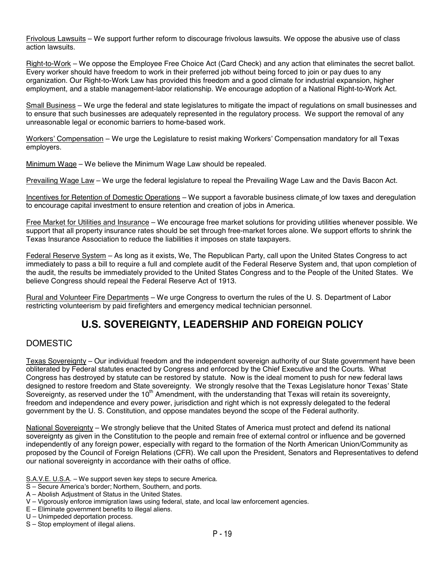Frivolous Lawsuits – We support further reform to discourage frivolous lawsuits. We oppose the abusive use of class action lawsuits.

Right-to-Work – We oppose the Employee Free Choice Act (Card Check) and any action that eliminates the secret ballot. Every worker should have freedom to work in their preferred job without being forced to join or pay dues to any organization. Our Right-to-Work Law has provided this freedom and a good climate for industrial expansion, higher employment, and a stable management-labor relationship. We encourage adoption of a National Right-to-Work Act.

Small Business – We urge the federal and state legislatures to mitigate the impact of regulations on small businesses and to ensure that such businesses are adequately represented in the regulatory process. We support the removal of any unreasonable legal or economic barriers to home-based work.

Workers' Compensation – We urge the Legislature to resist making Workers' Compensation mandatory for all Texas employers.

Minimum Wage – We believe the Minimum Wage Law should be repealed.

Prevailing Wage Law – We urge the federal legislature to repeal the Prevailing Wage Law and the Davis Bacon Act.

Incentives for Retention of Domestic Operations – We support a favorable business climate of low taxes and deregulation to encourage capital investment to ensure retention and creation of jobs in America.

Free Market for Utilities and Insurance – We encourage free market solutions for providing utilities whenever possible. We support that all property insurance rates should be set through free-market forces alone. We support efforts to shrink the Texas Insurance Association to reduce the liabilities it imposes on state taxpayers.

Federal Reserve System – As long as it exists, We, The Republican Party, call upon the United States Congress to act immediately to pass a bill to require a full and complete audit of the Federal Reserve System and, that upon completion of the audit, the results be immediately provided to the United States Congress and to the People of the United States. We believe Congress should repeal the Federal Reserve Act of 1913.

Rural and Volunteer Fire Departments – We urge Congress to overturn the rules of the U. S. Department of Labor restricting volunteerism by paid firefighters and emergency medical technician personnel.

## **U.S. SOVEREIGNTY, LEADERSHIP AND FOREIGN POLICY**

### DOMESTIC

Texas Sovereignty – Our individual freedom and the independent sovereign authority of our State government have been obliterated by Federal statutes enacted by Congress and enforced by the Chief Executive and the Courts. What Congress has destroyed by statute can be restored by statute. Now is the ideal moment to push for new federal laws designed to restore freedom and State sovereignty. We strongly resolve that the Texas Legislature honor Texas' State Sovereignty, as reserved under the 10<sup>th</sup> Amendment, with the understanding that Texas will retain its sovereignty, freedom and independence and every power, jurisdiction and right which is not expressly delegated to the federal government by the U. S. Constitution, and oppose mandates beyond the scope of the Federal authority.

National Sovereignty – We strongly believe that the United States of America must protect and defend its national sovereignty as given in the Constitution to the people and remain free of external control or influence and be governed independently of any foreign power, especially with regard to the formation of the North American Union/Community as proposed by the Council of Foreign Relations (CFR). We call upon the President, Senators and Representatives to defend our national sovereignty in accordance with their oaths of office.

- S.A.V.E. U.S.A. We support seven key steps to secure America.
- S Secure America's border; Northern, Southern, and ports.
- A Abolish Adjustment of Status in the United States.
- V Vigorously enforce immigration laws using federal, state, and local law enforcement agencies.
- E Eliminate government benefits to illegal aliens.
- U Unimpeded deportation process.
- S Stop employment of illegal aliens.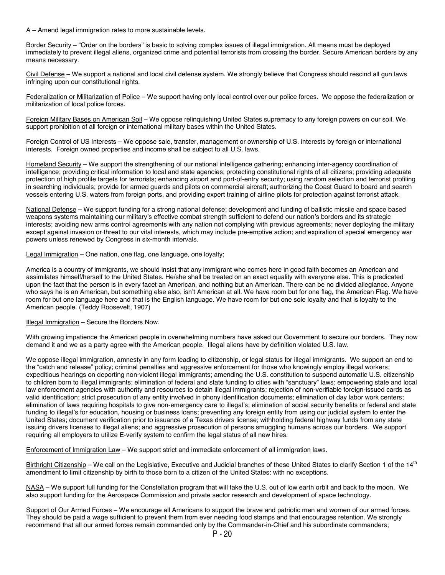A – Amend legal immigration rates to more sustainable levels.

Border Security – "Order on the borders" is basic to solving complex issues of illegal immigration. All means must be deployed immediately to prevent illegal aliens, organized crime and potential terrorists from crossing the border. Secure American borders by any means necessary.

Civil Defense – We support a national and local civil defense system. We strongly believe that Congress should rescind all gun laws infringing upon our constitutional rights.

Federalization or Militarization of Police – We support having only local control over our police forces. We oppose the federalization or militarization of local police forces.

Foreign Military Bases on American Soil – We oppose relinquishing United States supremacy to any foreign powers on our soil. We support prohibition of all foreign or international military bases within the United States.

Foreign Control of US Interests – We oppose sale, transfer, management or ownership of U.S. interests by foreign or international interests. Foreign owned properties and income shall be subject to all U.S. laws.

Homeland Security – We support the strengthening of our national intelligence gathering; enhancing inter-agency coordination of intelligence; providing critical information to local and state agencies; protecting constitutional rights of all citizens; providing adequate protection of high profile targets for terrorists; enhancing airport and port-of-entry security; using random selection and terrorist profiling in searching individuals; provide for armed guards and pilots on commercial aircraft; authorizing the Coast Guard to board and search vessels entering U.S. waters from foreign ports, and providing expert training of airline pilots for protection against terrorist attack.

National Defense – We support funding for a strong national defense; development and funding of ballistic missile and space based weapons systems maintaining our military's effective combat strength sufficient to defend our nation's borders and its strategic interests; avoiding new arms control agreements with any nation not complying with previous agreements; never deploying the military except against invasion or threat to our vital interests, which may include pre-emptive action; and expiration of special emergency war powers unless renewed by Congress in six-month intervals.

Legal Immigration – One nation, one flag, one language, one loyalty;

America is a country of immigrants, we should insist that any immigrant who comes here in good faith becomes an American and assimilates himself/herself to the United States. He/she shall be treated on an exact equality with everyone else. This is predicated upon the fact that the person is in every facet an American, and nothing but an American. There can be no divided allegiance. Anyone who says he is an American, but something else also, isn't American at all. We have room but for one flag, the American Flag. We have room for but one language here and that is the English language. We have room for but one sole loyalty and that is loyalty to the American people. (Teddy Roosevelt, 1907)

Illegal Immigration – Secure the Borders Now.

With growing impatience the American people in overwhelming numbers have asked our Government to secure our borders. They now demand it and we as a party agree with the American people. Illegal aliens have by definition violated U.S. law.

We oppose illegal immigration, amnesty in any form leading to citizenship, or legal status for illegal immigrants. We support an end to the "catch and release" policy; criminal penalties and aggressive enforcement for those who knowingly employ illegal workers; expeditious hearings on deporting non-violent illegal immigrants; amending the U.S. constitution to suspend automatic U.S. citizenship to children born to illegal immigrants; elimination of federal and state funding to cities with "sanctuary" laws; empowering state and local law enforcement agencies with authority and resources to detain illegal immigrants; rejection of non-verifiable foreign-issued cards as valid identification; strict prosecution of any entity involved in phony identification documents; elimination of day labor work centers; elimination of laws requiring hospitals to give non-emergency care to illegal's; elimination of social security benefits or federal and state funding to illegal's for education, housing or business loans; preventing any foreign entity from using our judicial system to enter the United States; document verification prior to issuance of a Texas drivers license; withholding federal highway funds from any state issuing drivers licenses to illegal aliens; and aggressive prosecution of persons smuggling humans across our borders. We support requiring all employers to utilize E-verify system to confirm the legal status of all new hires.

Enforcement of Immigration Law – We support strict and immediate enforcement of all immigration laws.

Birthright Citizenship – We call on the Legislative, Executive and Judicial branches of these United States to clarify Section 1 of the 14<sup>th</sup> amendment to limit citizenship by birth to those born to a citizen of the United States: with no exceptions.

NASA – We support full funding for the Constellation program that will take the U.S. out of low earth orbit and back to the moon. We also support funding for the Aerospace Commission and private sector research and development of space technology.

Support of Our Armed Forces – We encourage all Americans to support the brave and patriotic men and women of our armed forces. They should be paid a wage sufficient to prevent them from ever needing food stamps and that encourages retention. We strongly recommend that all our armed forces remain commanded only by the Commander-in-Chief and his subordinate commanders;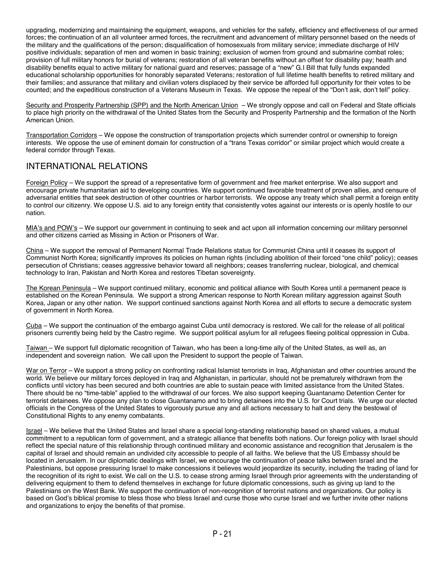upgrading, modernizing and maintaining the equipment, weapons, and vehicles for the safety, efficiency and effectiveness of our armed forces; the continuation of an all volunteer armed forces, the recruitment and advancement of military personnel based on the needs of the military and the qualifications of the person; disqualification of homosexuals from military service; immediate discharge of HIV positive individuals; separation of men and women in basic training; exclusion of women from ground and submarine combat roles; provision of full military honors for burial of veterans; restoration of all veteran benefits without an offset for disability pay; health and disability benefits equal to active military for national guard and reserves; passage of a "new" G.I Bill that fully funds expanded educational scholarship opportunities for honorably separated Veterans; restoration of full lifetime health benefits to retired military and their families; and assurance that military and civilian voters displaced by their service be afforded full opportunity for their votes to be counted; and the expeditious construction of a Veterans Museum in Texas. We oppose the repeal of the "Don't ask, don't tell" policy.

Security and Prosperity Partnership (SPP) and the North American Union – We strongly oppose and call on Federal and State officials to place high priority on the withdrawal of the United States from the Security and Prosperity Partnership and the formation of the North American Union.

Transportation Corridors – We oppose the construction of transportation projects which surrender control or ownership to foreign interests. We oppose the use of eminent domain for construction of a "trans Texas corridor" or similar project which would create a federal corridor through Texas.

### INTERNATIONAL RELATIONS

Foreign Policy – We support the spread of a representative form of government and free market enterprise. We also support and encourage private humanitarian aid to developing countries. We support continued favorable treatment of proven allies, and censure of adversarial entities that seek destruction of other countries or harbor terrorists. We oppose any treaty which shall permit a foreign entity to control our citizenry. We oppose U.S. aid to any foreign entity that consistently votes against our interests or is openly hostile to our nation.

MIA's and POW's – We support our government in continuing to seek and act upon all information concerning our military personnel and other citizens carried as Missing in Action or Prisoners of War.

China – We support the removal of Permanent Normal Trade Relations status for Communist China until it ceases its support of Communist North Korea; significantly improves its policies on human rights (including abolition of their forced "one child" policy); ceases persecution of Christians; ceases aggressive behavior toward all neighbors; ceases transferring nuclear, biological, and chemical technology to Iran, Pakistan and North Korea and restores Tibetan sovereignty.

The Korean Peninsula – We support continued military, economic and political alliance with South Korea until a permanent peace is established on the Korean Peninsula. We support a strong American response to North Korean military aggression against South Korea, Japan or any other nation. We support continued sanctions against North Korea and all efforts to secure a democratic system of government in North Korea.

Cuba – We support the continuation of the embargo against Cuba until democracy is restored. We call for the release of all political prisoners currently being held by the Castro regime. We support political asylum for all refugees fleeing political oppression in Cuba.

Taiwan – We support full diplomatic recognition of Taiwan, who has been a long-time ally of the United States, as well as, an independent and sovereign nation. We call upon the President to support the people of Taiwan.

War on Terror - We support a strong policy on confronting radical Islamist terrorists in Iraq, Afghanistan and other countries around the world. We believe our military forces deployed in Iraq and Afghanistan, in particular, should not be prematurely withdrawn from the conflicts until victory has been secured and both countries are able to sustain peace with limited assistance from the United States. There should be no "time-table" applied to the withdrawal of our forces. We also support keeping Guantanamo Detention Center for terrorist detainees. We oppose any plan to close Guantanamo and to bring detainees into the U.S. for Court trials. We urge our elected officials in the Congress of the United States to vigorously pursue any and all actions necessary to halt and deny the bestowal of Constitutional Rights to any enemy combatants.

Israel – We believe that the United States and Israel share a special long-standing relationship based on shared values, a mutual commitment to a republican form of government, and a strategic alliance that benefits both nations. Our foreign policy with Israel should reflect the special nature of this relationship through continued military and economic assistance and recognition that Jerusalem is the capital of Israel and should remain an undivided city accessible to people of all faiths. We believe that the US Embassy should be located in Jerusalem. In our diplomatic dealings with Israel, we encourage the continuation of peace talks between Israel and the Palestinians, but oppose pressuring Israel to make concessions it believes would jeopardize its security, including the trading of land for the recognition of its right to exist. We call on the U.S. to cease strong arming Israel through prior agreements with the understanding of delivering equipment to them to defend themselves in exchange for future diplomatic concessions, such as giving up land to the Palestinians on the West Bank. We support the continuation of non-recognition of terrorist nations and organizations. Our policy is based on God's biblical promise to bless those who bless Israel and curse those who curse Israel and we further invite other nations and organizations to enjoy the benefits of that promise.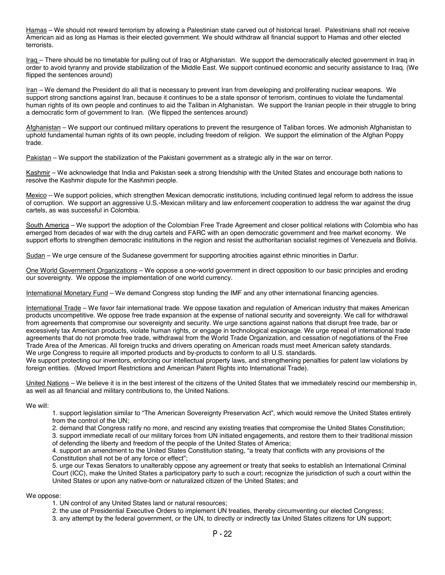Hamas – We should not reward terrorism by allowing a Palestinian state carved out of historical Israel. Palestinians shall not receive American aid as long as Hamas is their elected government. We should withdraw all financial support to Hamas and other elected terrorists.

Iraq - There should be no timetable for pulling out of Iraq or Afghanistan. We support the democratically elected government in Iraq in order to avoid tyranny and provide stabilization of the Middle East. We support continued economic and security assistance to Iraq. (We flipped the sentences around)

Iran – We demand the President do all that is necessary to prevent Iran from developing and proliferating nuclear weapons. We support strong sanctions against Iran, because it continues to be a state sponsor of terrorism, continues to violate the fundamental human rights of its own people and continues to aid the Taliban in Afghanistan. We support the Iranian people in their struggle to bring a democratic form of government to Iran. (We flipped the sentences around)

Afghanistan – We support our continued military operations to prevent the resurgence of Taliban forces. We admonish Afghanistan to uphold fundamental human rights of its own people, including freedom of religion. We support the elimination of the Afghan Poppy trade.

Pakistan – We support the stabilization of the Pakistani government as a strategic ally in the war on terror.

Kashmir – We acknowledge that India and Pakistan seek a strong friendship with the United States and encourage both nations to resolve the Kashmir dispute for the Kashmiri people.

Mexico – We support policies, which strengthen Mexican democratic institutions, including continued legal reform to address the issue of corruption. We support an aggressive U.S.-Mexican military and law enforcement cooperation to address the war against the drug cartels, as was successful in Colombia.

South America – We support the adoption of the Colombian Free Trade Agreement and closer political relations with Colombia who has emerged from decades of war with the drug cartels and FARC with an open democratic government and free market economy. We support efforts to strengthen democratic institutions in the region and resist the authoritarian socialist regimes of Venezuela and Bolivia.

Sudan – We urge censure of the Sudanese government for supporting atrocities against ethnic minorities in Darfur.

One World Government Organizations – We oppose a one-world government in direct opposition to our basic principles and eroding our sovereignty. We oppose the implementation of one world currency.

International Monetary Fund – We demand Congress stop funding the IMF and any other international financing agencies.

International Trade – We favor fair international trade. We oppose taxation and regulation of American industry that makes American products uncompetitive. We oppose free trade expansion at the expense of national security and sovereignty. We call for withdrawal from agreements that compromise our sovereignty and security. We urge sanctions against nations that disrupt free trade, bar or excessively tax American products, violate human rights, or engage in technological espionage. We urge repeal of international trade agreements that do not promote free trade, withdrawal from the World Trade Organization, and cessation of negotiations of the Free Trade Area of the Americas. All foreign trucks and drivers operating on American roads must meet American safety standards. We urge Congress to require all imported products and by-products to conform to all U.S. standards.

We support protecting our inventors, enforcing our intellectual property laws, and strengthening penalties for patent law violations by foreign entities. (Moved Import Restrictions and American Patent Rights into International Trade).

United Nations – We believe it is in the best interest of the citizens of the United States that we immediately rescind our membership in, as well as all financial and military contributions to, the United Nations.

We will:

1. support legislation similar to "The American Sovereignty Preservation Act", which would remove the United States entirely from the control of the UN;

2. demand that Congress ratify no more, and rescind any existing treaties that compromise the United States Constitution;

3. support immediate recall of our military forces from UN initiated engagements, and restore them to their traditional mission of defending the liberty and freedom of the people of the United States of America;

4. support an amendment to the United States Constitution stating, "a treaty that conflicts with any provisions of the Constitution shall not be of any force or effect";

5. urge our Texas Senators to unalterably oppose any agreement or treaty that seeks to establish an International Criminal Court (ICC), make the United States a participatory party to such a court; recognize the jurisdiction of such a court within the United States or upon any native-born or naturalized citizen of the United States; and

#### We oppose:

- 1. UN control of any United States land or natural resources;
- 2. the use of Presidential Executive Orders to implement UN treaties, thereby circumventing our elected Congress;
- 3. any attempt by the federal government, or the UN, to directly or indirectly tax United States citizens for UN support;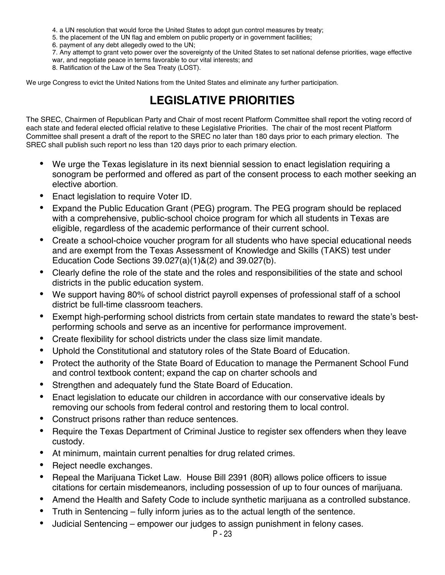4. a UN resolution that would force the United States to adopt gun control measures by treaty;

5. the placement of the UN flag and emblem on public property or in government facilities;

6. payment of any debt allegedly owed to the UN;

7. Any attempt to grant veto power over the sovereignty of the United States to set national defense priorities, wage effective war, and negotiate peace in terms favorable to our vital interests; and

8. Ratification of the Law of the Sea Treaty (LOST).

We urge Congress to evict the United Nations from the United States and eliminate any further participation.

# **LEGISLATIVE PRIORITIES**

The SREC, Chairmen of Republican Party and Chair of most recent Platform Committee shall report the voting record of each state and federal elected official relative to these Legislative Priorities. The chair of the most recent Platform Committee shall present a draft of the report to the SREC no later than 180 days prior to each primary election. The SREC shall publish such report no less than 120 days prior to each primary election.

- We urge the Texas legislature in its next biennial session to enact legislation requiring a sonogram be performed and offered as part of the consent process to each mother seeking an elective abortion.
- Enact legislation to require Voter ID.
- Expand the Public Education Grant (PEG) program. The PEG program should be replaced with a comprehensive, public-school choice program for which all students in Texas are eligible, regardless of the academic performance of their current school.
- Create a school-choice voucher program for all students who have special educational needs and are exempt from the Texas Assessment of Knowledge and Skills (TAKS) test under Education Code Sections 39.027(a)(1)&(2) and 39.027(b).
- Clearly define the role of the state and the roles and responsibilities of the state and school districts in the public education system.
- We support having 80% of school district payroll expenses of professional staff of a school district be full-time classroom teachers.
- Exempt high-performing school districts from certain state mandates to reward the state's bestperforming schools and serve as an incentive for performance improvement.
- Create flexibility for school districts under the class size limit mandate.
- Uphold the Constitutional and statutory roles of the State Board of Education.
- Protect the authority of the State Board of Education to manage the Permanent School Fund and control textbook content; expand the cap on charter schools and
- Strengthen and adequately fund the State Board of Education.
- Enact legislation to educate our children in accordance with our conservative ideals by removing our schools from federal control and restoring them to local control.
- Construct prisons rather than reduce sentences.
- Require the Texas Department of Criminal Justice to register sex offenders when they leave custody.
- At minimum, maintain current penalties for drug related crimes.
- Reject needle exchanges.
- Repeal the Marijuana Ticket Law. House Bill 2391 (80R) allows police officers to issue citations for certain misdemeanors, including possession of up to four ounces of marijuana.
- Amend the Health and Safety Code to include synthetic marijuana as a controlled substance.
- Truth in Sentencing fully inform juries as to the actual length of the sentence.
- Judicial Sentencing empower our judges to assign punishment in felony cases.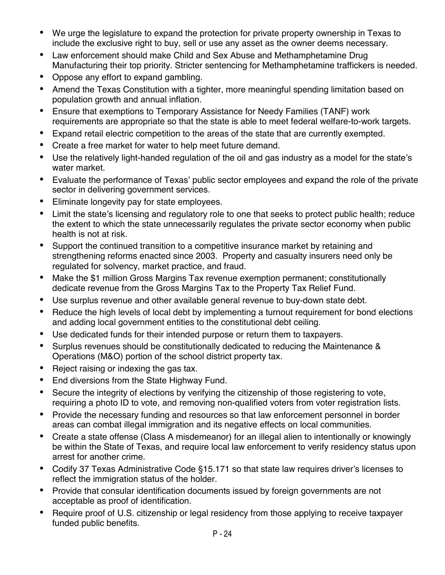- We urge the legislature to expand the protection for private property ownership in Texas to include the exclusive right to buy, sell or use any asset as the owner deems necessary.
- Law enforcement should make Child and Sex Abuse and Methamphetamine Drug Manufacturing their top priority. Stricter sentencing for Methamphetamine traffickers is needed.
- Oppose any effort to expand gambling.
- Amend the Texas Constitution with a tighter, more meaningful spending limitation based on population growth and annual inflation.
- Ensure that exemptions to Temporary Assistance for Needy Families (TANF) work requirements are appropriate so that the state is able to meet federal welfare-to-work targets.
- Expand retail electric competition to the areas of the state that are currently exempted.
- Create a free market for water to help meet future demand.
- Use the relatively light-handed regulation of the oil and gas industry as a model for the state's water market.
- Evaluate the performance of Texas' public sector employees and expand the role of the private sector in delivering government services.
- Eliminate longevity pay for state employees.
- Limit the state's licensing and regulatory role to one that seeks to protect public health; reduce the extent to which the state unnecessarily regulates the private sector economy when public health is not at risk.
- Support the continued transition to a competitive insurance market by retaining and strengthening reforms enacted since 2003. Property and casualty insurers need only be regulated for solvency, market practice, and fraud.
- Make the \$1 million Gross Margins Tax revenue exemption permanent; constitutionally dedicate revenue from the Gross Margins Tax to the Property Tax Relief Fund.
- Use surplus revenue and other available general revenue to buy-down state debt.
- Reduce the high levels of local debt by implementing a turnout requirement for bond elections and adding local government entities to the constitutional debt ceiling.
- Use dedicated funds for their intended purpose or return them to taxpayers.
- Surplus revenues should be constitutionally dedicated to reducing the Maintenance & Operations (M&O) portion of the school district property tax.
- Reject raising or indexing the gas tax.
- End diversions from the State Highway Fund.
- Secure the integrity of elections by verifying the citizenship of those registering to vote, requiring a photo ID to vote, and removing non-qualified voters from voter registration lists.
- Provide the necessary funding and resources so that law enforcement personnel in border areas can combat illegal immigration and its negative effects on local communities.
- Create a state offense (Class A misdemeanor) for an illegal alien to intentionally or knowingly be within the State of Texas, and require local law enforcement to verify residency status upon arrest for another crime.
- Codify 37 Texas Administrative Code §15.171 so that state law requires driver's licenses to reflect the immigration status of the holder.
- Provide that consular identification documents issued by foreign governments are not acceptable as proof of identification.
- Require proof of U.S. citizenship or legal residency from those applying to receive taxpayer funded public benefits.